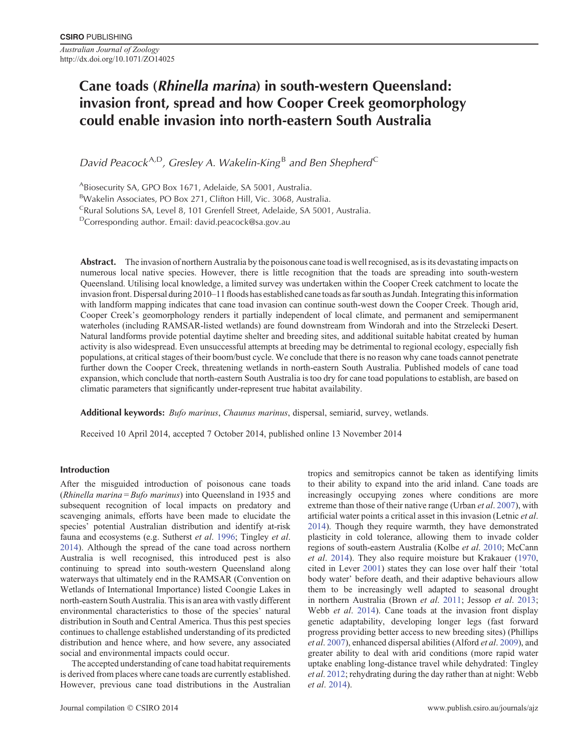*Australian Journal of Zoology* http://dx.doi.org/10.1071/ZO14025

# **Cane toads (***Rhinella marina***) in south-western Queensland: invasion front, spread and how Cooper Creek geomorphology could enable invasion into north-eastern South Australia**

*David Peacock*<sup>A,D</sup>, *Gresley A. Wakelin-King*<sup>B</sup> and *Ben Shepherd*<sup>C</sup>

ABiosecurity SA, GPO Box 1671, Adelaide, SA 5001, Australia. <sup>B</sup>Wakelin Associates, PO Box 271, Clifton Hill, Vic. 3068, Australia. <sup>C</sup>Rural Solutions SA, Level 8, 101 Grenfell Street, Adelaide, SA 5001, Australia. DCorresponding author. Email: [david.peacock@sa.gov.au](mailto:david.peacock@sa.gov.au)

Abstract. The invasion of northern Australia by the poisonous cane toad is well recognised, as is its devastating impacts on numerous local native species. However, there is little recognition that the toads are spreading into south-western Queensland. Utilising local knowledge, a limited survey was undertaken within the Cooper Creek catchment to locate the invasion front. Dispersal during 2010–11 floods has established cane toads as far south as Jundah. Integrating this information with landform mapping indicates that cane toad invasion can continue south-west down the Cooper Creek. Though arid, Cooper Creek's geomorphology renders it partially independent of local climate, and permanent and semipermanent waterholes (including RAMSAR-listed wetlands) are found downstream from Windorah and into the Strzelecki Desert. Natural landforms provide potential daytime shelter and breeding sites, and additional suitable habitat created by human activity is also widespread. Even unsuccessful attempts at breeding may be detrimental to regional ecology, especially fish populations, at critical stages of their boom/bust cycle. We conclude that there is no reason why cane toads cannot penetrate further down the Cooper Creek, threatening wetlands in north-eastern South Australia. Published models of cane toad expansion, which conclude that north-eastern South Australia is too dry for cane toad populations to establish, are based on climatic parameters that significantly under-represent true habitat availability.

**Additional keywords:** *Bufo marinus*, *Chaunus marinus*, dispersal, semiarid, survey, wetlands.

Received 10 April 2014, accepted 7 October 2014, published online 13 November 2014

# **Introduction**

After the misguided introduction of poisonous cane toads (*Rhinella marina* = *Bufo marinus*) into Queensland in 1935 and subsequent recognition of local impacts on predatory and scavenging animals, efforts have been made to elucidate the species' potential Australian distribution and identify at-risk fauna and ecosystems (e.g. Sutherst *et al*. [1996;](#page-7-0) Tingley *et al*. [2014](#page-7-0)). Although the spread of the cane toad across northern Australia is well recognised, this introduced pest is also continuing to spread into south-western Queensland along waterways that ultimately end in the RAMSAR (Convention on Wetlands of International Importance) listed Coongie Lakes in north-eastern South Australia. This is an area with vastly different environmental characteristics to those of the species' natural distribution in South and Central America. Thus this pest species continues to challenge established understanding of its predicted distribution and hence where, and how severe, any associated social and environmental impacts could occur.

The accepted understanding of cane toad habitat requirements is derived from places where cane toads are currently established. However, previous cane toad distributions in the Australian tropics and semitropics cannot be taken as identifying limits to their ability to expand into the arid inland. Cane toads are increasingly occupying zones where conditions are more extreme than those of their native range (Urban *et al*. [2007\)](#page-7-0), with artificial water points a critical asset in this invasion (Letnic *et al*. [2014](#page-7-0)). Though they require warmth, they have demonstrated plasticity in cold tolerance, allowing them to invade colder regions of south-eastern Australia (Kolbe *et al*. [2010;](#page-7-0) McCann *et al*. [2014](#page-7-0)). They also require moisture but Krakauer [\(1970](#page-7-0), cited in Lever [2001\)](#page-7-0) states they can lose over half their 'total body water' before death, and their adaptive behaviours allow them to be increasingly well adapted to seasonal drought in northern Australia (Brown *et al*. [2011;](#page-6-0) Jessop *et al*. [2013;](#page-6-0) Webb *et al*. [2014\)](#page-7-0). Cane toads at the invasion front display genetic adaptability, developing longer legs (fast forward progress providing better access to new breeding sites) (Phillips *et al*. [2007](#page-7-0)), enhanced dispersal abilities (Alford *et al*. [2009\)](#page-6-0), and greater ability to deal with arid conditions (more rapid water uptake enabling long-distance travel while dehydrated: Tingley *et al*. [2012](#page-7-0); rehydrating during the day rather than at night: Webb *et al*. [2014](#page-7-0)).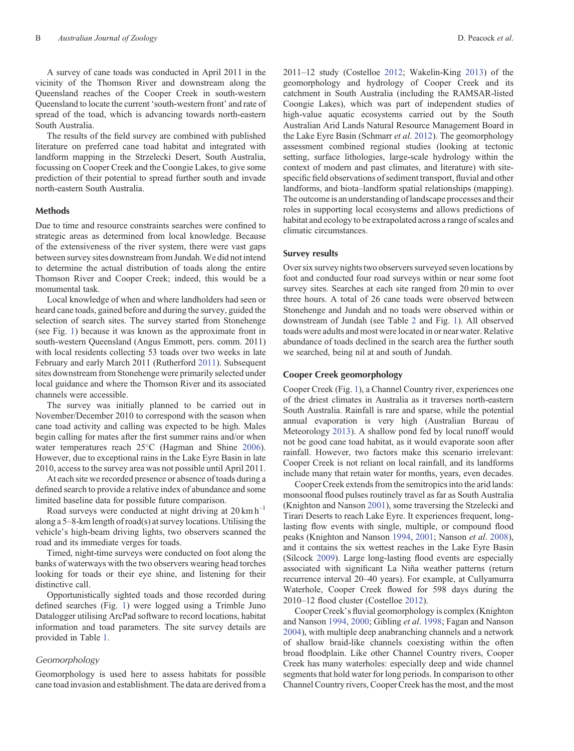A survey of cane toads was conducted in April 2011 in the vicinity of the Thomson River and downstream along the Queensland reaches of the Cooper Creek in south-western Queensland to locate the current 'south-western front' and rate of spread of the toad, which is advancing towards north-eastern South Australia.

The results of the field survey are combined with published literature on preferred cane toad habitat and integrated with landform mapping in the Strzelecki Desert, South Australia, focussing on Cooper Creek and the Coongie Lakes, to give some prediction of their potential to spread further south and invade north-eastern South Australia.

## **Methods**

Due to time and resource constraints searches were confined to strategic areas as determined from local knowledge. Because of the extensiveness of the river system, there were vast gaps between survey sites downstream from Jundah.We did not intend to determine the actual distribution of toads along the entire Thomson River and Cooper Creek; indeed, this would be a monumental task.

Local knowledge of when and where landholders had seen or heard cane toads, gained before and during the survey, guided the selection of search sites. The survey started from Stonehenge (see Fig. [1\)](#page-2-0) because it was known as the approximate front in south-western Queensland (Angus Emmott, pers. comm. 2011) with local residents collecting 53 toads over two weeks in late February and early March 2011 (Rutherford [2011\)](#page-7-0). Subsequent sites downstream from Stonehenge were primarily selected under local guidance and where the Thomson River and its associated channels were accessible.

The survey was initially planned to be carried out in November/December 2010 to correspond with the season when cane toad activity and calling was expected to be high. Males begin calling for mates after the first summer rains and/or when water temperatures reach 25 C (Hagman and Shine [2006](#page-6-0)). However, due to exceptional rains in the Lake Eyre Basin in late 2010, access to the survey area was not possible until April 2011.

At each site we recorded presence or absence of toads during a defined search to provide a relative index of abundance and some limited baseline data for possible future comparison.

Road surveys were conducted at night driving at  $20 \text{ km h}^{-1}$ along a 5–8-km length of road(s) at survey locations. Utilising the vehicle's high-beam driving lights, two observers scanned the road and its immediate verges for toads.

Timed, night-time surveys were conducted on foot along the banks of waterways with the two observers wearing head torches looking for toads or their eye shine, and listening for their distinctive call.

Opportunistically sighted toads and those recorded during defined searches (Fig. [1](#page-2-0)) were logged using a Trimble Juno Datalogger utilising ArcPad software to record locations, habitat information and toad parameters. The site survey details are provided in Table [1](#page-3-0).

#### *Geomorphology*

Geomorphology is used here to assess habitats for possible cane toad invasion and establishment. The data are derived from a 2011–12 study (Costelloe [2012;](#page-6-0) Wakelin-King [2013\)](#page-7-0) of the geomorphology and hydrology of Cooper Creek and its catchment in South Australia (including the RAMSAR-listed Coongie Lakes), which was part of independent studies of high-value aquatic ecosystems carried out by the South Australian Arid Lands Natural Resource Management Board in the Lake Eyre Basin (Schmarr *et al*. [2012\)](#page-7-0). The geomorphology assessment combined regional studies (looking at tectonic setting, surface lithologies, large-scale hydrology within the context of modern and past climates, and literature) with sitespecific field observations of sediment transport, fluvial and other landforms, and biota–landform spatial relationships (mapping). The outcome is an understanding of landscape processes and their roles in supporting local ecosystems and allows predictions of habitat and ecology to be extrapolated across a range of scales and climatic circumstances.

## **Survey results**

Over six survey nights two observers surveyed seven locations by foot and conducted four road surveys within or near some foot survey sites. Searches at each site ranged from 20 min to over three hours. A total of 26 cane toads were observed between Stonehenge and Jundah and no toads were observed within or downstream of Jundah (see Table [2](#page-3-0) and Fig. [1](#page-2-0)). All observed toads were adults and most were located in or near water. Relative abundance of toads declined in the search area the further south we searched, being nil at and south of Jundah.

## **Cooper Creek geomorphology**

Cooper Creek (Fig. [1](#page-2-0)), a Channel Country river, experiences one of the driest climates in Australia as it traverses north-eastern South Australia. Rainfall is rare and sparse, while the potential annual evaporation is very high (Australian Bureau of Meteorology [2013](#page-6-0)). A shallow pond fed by local runoff would not be good cane toad habitat, as it would evaporate soon after rainfall. However, two factors make this scenario irrelevant: Cooper Creek is not reliant on local rainfall, and its landforms include many that retain water for months, years, even decades.

Cooper Creek extends from the semitropics into the arid lands: monsoonal flood pulses routinely travel as far as South Australia (Knighton and Nanson [2001](#page-7-0)), some traversing the Stzelecki and Tirari Deserts to reach Lake Eyre. It experiences frequent, longlasting flow events with single, multiple, or compound flood peaks (Knighton and Nanson [1994](#page-6-0), [2001](#page-7-0); Nanson *et al*. [2008](#page-7-0)), and it contains the six wettest reaches in the Lake Eyre Basin (Silcock [2009](#page-7-0)). Large long-lasting flood events are especially associated with significant La Niña weather patterns (return recurrence interval 20–40 years). For example, at Cullyamurra Waterhole, Cooper Creek flowed for 598 days during the 2010–12 flood cluster (Costelloe [2012](#page-6-0)).

Cooper Creek's fluvial geomorphology is complex (Knighton and Nanson [1994](#page-6-0), [2000](#page-7-0); Gibling *et al*. [1998](#page-6-0); Fagan and Nanson [2004\)](#page-6-0), with multiple deep anabranching channels and a network of shallow braid-like channels coexisting within the often broad floodplain. Like other Channel Country rivers, Cooper Creek has many waterholes: especially deep and wide channel segments that hold water for long periods. In comparison to other Channel Country rivers, Cooper Creek has the most, and the most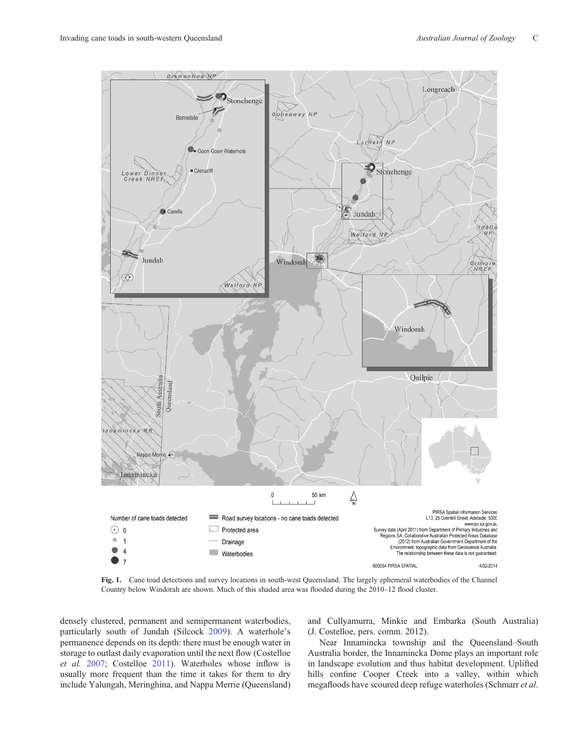<span id="page-2-0"></span>

**Fig. 1.** Cane toad detections and survey locations in south-west Queensland. The largely ephemeral waterbodies of the Channel Country below Windorah are shown. Much of this shaded area was flooded during the 2010–12 flood cluster.

densely clustered, permanent and semipermanent waterbodies, particularly south of Jundah (Silcock [2009\)](#page-7-0). A waterhole's permanence depends on its depth: there must be enough water in storage to outlast daily evaporation until the next flow (Costelloe *et al.* [2007;](#page-6-0) Costelloe [2011\)](#page-6-0). Waterholes whose inflow is usually more frequent than the time it takes for them to dry include Yalungah, Meringhina, and Nappa Merrie (Queensland) and Cullyamurra, Minkie and Embarka (South Australia) (J. Costelloe, pers. comm. 2012).

Near Innamincka township and the Queensland–South Australia border, the Innamincka Dome plays an important role in landscape evolution and thus habitat development. Uplifted hills confine Cooper Creek into a valley, within which megafloods have scoured deep refuge waterholes (Schmarr *et al*.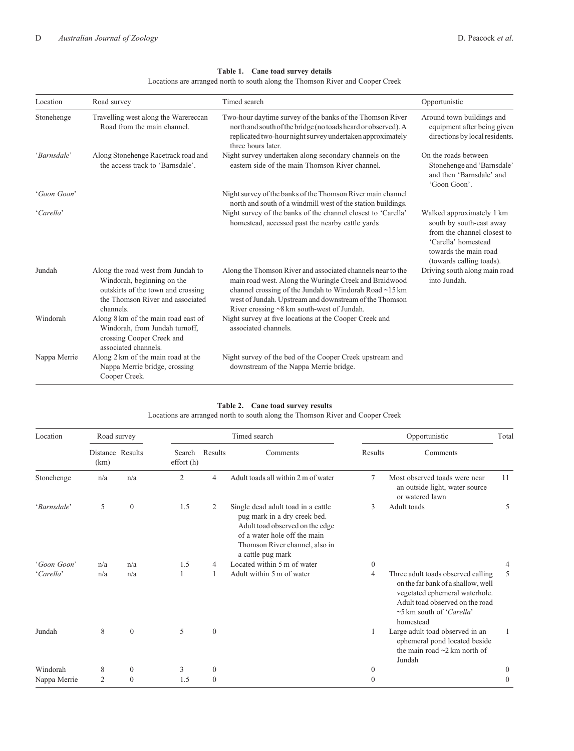# **Table 1. Cane toad survey details**

Locations are arranged north to south along the Thomson River and Cooper Creek

<span id="page-3-0"></span>

| Location           | Road survey                                                                                                                                             | Timed search                                                                                                                                                                                                                                                                                        | Opportunistic                                                                                                                                                    |
|--------------------|---------------------------------------------------------------------------------------------------------------------------------------------------------|-----------------------------------------------------------------------------------------------------------------------------------------------------------------------------------------------------------------------------------------------------------------------------------------------------|------------------------------------------------------------------------------------------------------------------------------------------------------------------|
| Stonehenge         | Travelling west along the Warereccan<br>Road from the main channel.                                                                                     | Two-hour daytime survey of the banks of the Thomson River<br>north and south of the bridge (no toads heard or observed). A<br>replicated two-hour night survey undertaken approximately<br>three hours later.                                                                                       | Around town buildings and<br>equipment after being given<br>directions by local residents.                                                                       |
| 'Barnsdale'        | Along Stonehenge Racetrack road and<br>the access track to 'Barnsdale'.                                                                                 | Night survey undertaken along secondary channels on the<br>eastern side of the main Thomson River channel.                                                                                                                                                                                          | On the roads between<br>Stonehenge and 'Barnsdale'<br>and then 'Barnsdale' and<br>'Goon Goon'.                                                                   |
| <i>'Goon Goon'</i> |                                                                                                                                                         | Night survey of the banks of the Thomson River main channel<br>north and south of a windmill west of the station buildings.                                                                                                                                                                         |                                                                                                                                                                  |
| 'Carella'          |                                                                                                                                                         | Night survey of the banks of the channel closest to 'Carella'<br>homestead, accessed past the nearby cattle yards                                                                                                                                                                                   | Walked approximately 1 km<br>south by south-east away<br>from the channel closest to<br>'Carella' homestead<br>towards the main road<br>(towards calling toads). |
| Jundah             | Along the road west from Jundah to<br>Windorah, beginning on the<br>outskirts of the town and crossing<br>the Thomson River and associated<br>channels. | Along the Thomson River and associated channels near to the<br>main road west. Along the Wuringle Creek and Braidwood<br>channel crossing of the Jundah to Windorah Road $\sim$ 15 km<br>west of Jundah. Upstream and downstream of the Thomson<br>River crossing $\sim 8$ km south-west of Jundah. | Driving south along main road<br>into Jundah.                                                                                                                    |
| Windorah           | Along 8 km of the main road east of<br>Windorah, from Jundah turnoff,<br>crossing Cooper Creek and<br>associated channels.                              | Night survey at five locations at the Cooper Creek and<br>associated channels.                                                                                                                                                                                                                      |                                                                                                                                                                  |
| Nappa Merrie       | Along 2 km of the main road at the<br>Nappa Merrie bridge, crossing<br>Cooper Creek.                                                                    | Night survey of the bed of the Cooper Creek upstream and<br>downstream of the Nappa Merrie bridge.                                                                                                                                                                                                  |                                                                                                                                                                  |

#### **Table 2. Cane toad survey results**

Locations are arranged north to south along the Thomson River and Cooper Creek

| Location     | Road survey              |                | Timed search        |                  |                                                                                                                                                                                              | Opportunistic |                                                                                                                                                                                              |                |
|--------------|--------------------------|----------------|---------------------|------------------|----------------------------------------------------------------------------------------------------------------------------------------------------------------------------------------------|---------------|----------------------------------------------------------------------------------------------------------------------------------------------------------------------------------------------|----------------|
|              | Distance Results<br>(km) |                | Search<br>effort(h) | Results          | Comments                                                                                                                                                                                     | Results       | Comments                                                                                                                                                                                     |                |
| Stonehenge   | n/a                      | n/a            | $\overline{2}$      | 4                | Adult toads all within 2 m of water                                                                                                                                                          | $\tau$        | Most observed toads were near<br>an outside light, water source<br>or watered lawn                                                                                                           | 11             |
| 'Barnsdale'  | 5                        | $\mathbf{0}$   | 1.5                 | $\overline{2}$   | Single dead adult toad in a cattle<br>pug mark in a dry creek bed.<br>Adult toad observed on the edge<br>of a water hole off the main<br>Thomson River channel, also in<br>a cattle pug mark | 3             | Adult toads                                                                                                                                                                                  | 5              |
| 'Goon Goon'  | n/a                      | n/a            | 1.5                 | 4                | Located within 5 m of water                                                                                                                                                                  | $\Omega$      |                                                                                                                                                                                              | 4              |
| 'Carella'    | n/a                      | n/a            | 1                   | 1                | Adult within 5 m of water                                                                                                                                                                    | 4             | Three adult toads observed calling<br>on the far bank of a shallow, well<br>vegetated ephemeral waterhole.<br>Adult toad observed on the road<br>$\sim$ 5 km south of 'Carella'<br>homestead | 5              |
| Jundah       | 8                        | $\theta$       | 5                   | $\mathbf{0}$     |                                                                                                                                                                                              |               | Large adult toad observed in an<br>ephemeral pond located beside<br>the main road $\sim$ 2 km north of<br>Jundah                                                                             |                |
| Windorah     | 8                        | $\overline{0}$ | 3                   | $\boldsymbol{0}$ |                                                                                                                                                                                              | 0             |                                                                                                                                                                                              | $\overline{0}$ |
| Nappa Merrie | $\overline{2}$           | $\theta$       | 1.5                 | $\mathbf{0}$     |                                                                                                                                                                                              | 0             |                                                                                                                                                                                              | $\Omega$       |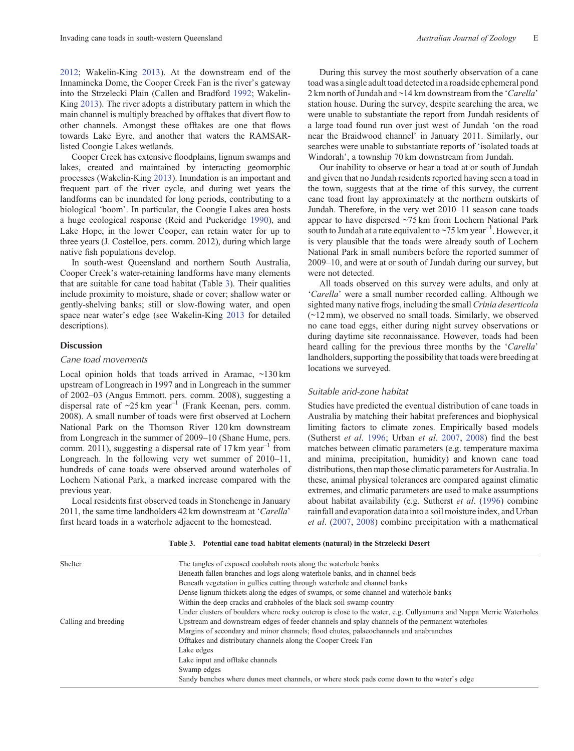<span id="page-4-0"></span>[2012](#page-7-0); Wakelin-King [2013](#page-7-0)). At the downstream end of the Innamincka Dome, the Cooper Creek Fan is the river's gateway into the Strzelecki Plain (Callen and Bradford [1992;](#page-6-0) Wakelin-King [2013\)](#page-7-0). The river adopts a distributary pattern in which the main channel is multiply breached by offtakes that divert flow to other channels. Amongst these offtakes are one that flows towards Lake Eyre, and another that waters the RAMSARlisted Coongie Lakes wetlands.

Cooper Creek has extensive floodplains, lignum swamps and lakes, created and maintained by interacting geomorphic processes (Wakelin-King [2013\)](#page-7-0). Inundation is an important and frequent part of the river cycle, and during wet years the landforms can be inundated for long periods, contributing to a biological 'boom'. In particular, the Coongie Lakes area hosts a huge ecological response (Reid and Puckeridge [1990\)](#page-7-0), and Lake Hope, in the lower Cooper, can retain water for up to three years (J. Costelloe, pers. comm. 2012), during which large native fish populations develop.

In south-west Queensland and northern South Australia, Cooper Creek's water-retaining landforms have many elements that are suitable for cane toad habitat (Table 3). Their qualities include proximity to moisture, shade or cover; shallow water or gently-shelving banks; still or slow-flowing water, and open space near water's edge (see Wakelin-King [2013](#page-7-0) for detailed descriptions).

#### **Discussion**

#### *Cane toad movements*

Local opinion holds that toads arrived in Aramac, ~130 km upstream of Longreach in 1997 and in Longreach in the summer of 2002–03 (Angus Emmott. pers. comm. 2008), suggesting a dispersal rate of  $\sim$ 25 km year<sup>-1</sup> (Frank Keenan, pers. comm. 2008). A small number of toads were first observed at Lochern National Park on the Thomson River 120 km downstream from Longreach in the summer of 2009–10 (Shane Hume, pers. comm. 2011), suggesting a dispersal rate of  $17 \text{ km} \text{ year}^{-1}$  from Longreach. In the following very wet summer of 2010–11, hundreds of cane toads were observed around waterholes of Lochern National Park, a marked increase compared with the previous year.

Local residents first observed toads in Stonehenge in January 2011, the same time landholders 42 km downstream at '*Carella*' first heard toads in a waterhole adjacent to the homestead.

During this survey the most southerly observation of a cane toad was a single adult toad detected in a roadside ephemeral pond 2 km north of Jundah and ~14 km downstream from the '*Carella*' station house. During the survey, despite searching the area, we were unable to substantiate the report from Jundah residents of a large toad found run over just west of Jundah 'on the road near the Braidwood channel' in January 2011. Similarly, our searches were unable to substantiate reports of 'isolated toads at Windorah', a township 70 km downstream from Jundah.

Our inability to observe or hear a toad at or south of Jundah and given that no Jundah residents reported having seen a toad in the town, suggests that at the time of this survey, the current cane toad front lay approximately at the northern outskirts of Jundah. Therefore, in the very wet 2010–11 season cane toads appear to have dispersed ~75 km from Lochern National Park south to Jundah at a rate equivalent to  $\sim$ 75 km year<sup>-1</sup>. However, it is very plausible that the toads were already south of Lochern National Park in small numbers before the reported summer of 2009–10, and were at or south of Jundah during our survey, but were not detected.

All toads observed on this survey were adults, and only at '*Carella*' were a small number recorded calling. Although we sighted many native frogs, including the small *Crinia deserticola* (~12 mm), we observed no small toads. Similarly, we observed no cane toad eggs, either during night survey observations or during daytime site reconnaissance. However, toads had been heard calling for the previous three months by the '*Carella*' landholders, supporting the possibility that toads were breeding at locations we surveyed.

## *Suitable arid-zone habitat*

Studies have predicted the eventual distribution of cane toads in Australia by matching their habitat preferences and biophysical limiting factors to climate zones. Empirically based models (Sutherst *et al*. [1996](#page-7-0); Urban *et al*. [2007](#page-7-0), [2008](#page-7-0)) find the best matches between climatic parameters (e.g. temperature maxima and minima, precipitation, humidity) and known cane toad distributions, then map those climatic parameters for Australia. In these, animal physical tolerances are compared against climatic extremes, and climatic parameters are used to make assumptions about habitat availability (e.g. Sutherst *et al*. [\(1996](#page-7-0)) combine rainfall and evaporation data into a soil moisture index, and Urban *et al*. [\(2007](#page-7-0), [2008\)](#page-7-0) combine precipitation with a mathematical

|  |  | Table 3. Potential cane toad habitat elements (natural) in the Strzelecki Desert |
|--|--|----------------------------------------------------------------------------------|
|--|--|----------------------------------------------------------------------------------|

| Shelter              | The tangles of exposed coolabah roots along the waterhole banks                                                    |  |  |  |  |
|----------------------|--------------------------------------------------------------------------------------------------------------------|--|--|--|--|
|                      | Beneath fallen branches and logs along waterhole banks, and in channel beds                                        |  |  |  |  |
|                      | Beneath vegetation in gullies cutting through waterhole and channel banks                                          |  |  |  |  |
|                      | Dense lignum thickets along the edges of swamps, or some channel and waterhole banks                               |  |  |  |  |
|                      | Within the deep cracks and crabholes of the black soil swamp country                                               |  |  |  |  |
|                      | Under clusters of boulders where rocky outcrop is close to the water, e.g. Cullyamurra and Nappa Merrie Waterholes |  |  |  |  |
| Calling and breeding | Upstream and downstream edges of feeder channels and splay channels of the permanent waterholes                    |  |  |  |  |
|                      | Margins of secondary and minor channels; flood chutes, palaeochannels and anabranches                              |  |  |  |  |
|                      | Offtakes and distributary channels along the Cooper Creek Fan                                                      |  |  |  |  |
|                      | Lake edges                                                                                                         |  |  |  |  |
|                      | Lake input and offtake channels                                                                                    |  |  |  |  |
|                      | Swamp edges                                                                                                        |  |  |  |  |
|                      | Sandy benches where dunes meet channels, or where stock pads come down to the water's edge                         |  |  |  |  |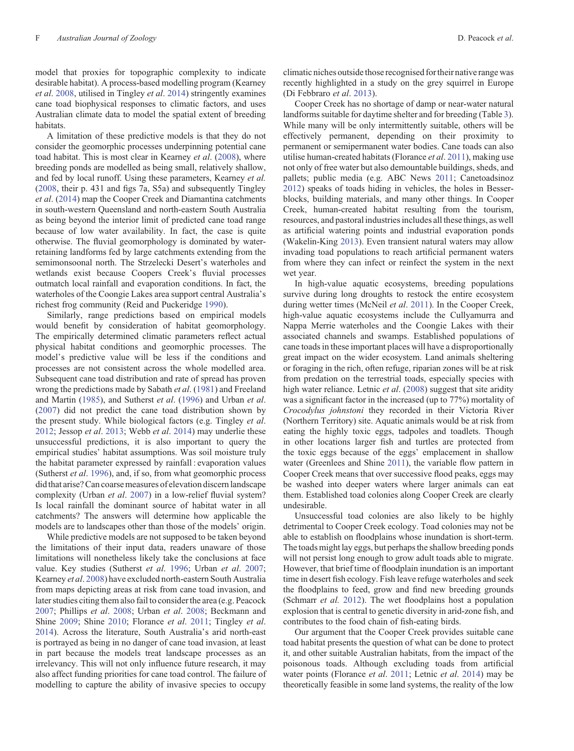model that proxies for topographic complexity to indicate desirable habitat). A process-based modelling program (Kearney *et al*. [2008,](#page-6-0) utilised in Tingley *et al*. [2014\)](#page-7-0) stringently examines cane toad biophysical responses to climatic factors, and uses Australian climate data to model the spatial extent of breeding habitats.

A limitation of these predictive models is that they do not consider the geomorphic processes underpinning potential cane toad habitat. This is most clear in Kearney *et al*. ([2008\)](#page-6-0), where breeding ponds are modelled as being small, relatively shallow, and fed by local runoff. Using these parameters, Kearney *et al.* ([2008,](#page-6-0) their p. 431 and figs 7a, S5a) and subsequently Tingley *et al*. ([2014\)](#page-7-0) map the Cooper Creek and Diamantina catchments in south-western Queensland and north-eastern South Australia as being beyond the interior limit of predicted cane toad range because of low water availability. In fact, the case is quite otherwise. The fluvial geomorphology is dominated by waterretaining landforms fed by large catchments extending from the semimonsoonal north. The Strzelecki Desert's waterholes and wetlands exist because Coopers Creek's fluvial processes outmatch local rainfall and evaporation conditions. In fact, the waterholes of the Coongie Lakes area support central Australia's richest frog community (Reid and Puckeridge [1990](#page-7-0)).

Similarly, range predictions based on empirical models would benefit by consideration of habitat geomorphology. The empirically determined climatic parameters reflect actual physical habitat conditions and geomorphic processes. The model's predictive value will be less if the conditions and processes are not consistent across the whole modelled area. Subsequent cane toad distribution and rate of spread has proven wrong the predictions made by Sabath *et al*. ([1981\)](#page-7-0) and Freeland and Martin [\(1985\)](#page-6-0), and Sutherst *et al*. [\(1996](#page-7-0)) and Urban *et al*. ([2007\)](#page-7-0) did not predict the cane toad distribution shown by the present study. While biological factors (e.g. Tingley *et al*. [2012;](#page-7-0) Jessop *et al*. [2013](#page-6-0); Webb *et al*. [2014](#page-7-0)) may underlie these unsuccessful predictions, it is also important to query the empirical studies' habitat assumptions. Was soil moisture truly the habitat parameter expressed by rainfall : evaporation values (Sutherst *et al*. [1996\)](#page-7-0), and, if so, from what geomorphic process did that arise? Can coarse measures of elevation discern landscape complexity (Urban *et al*. [2007](#page-7-0)) in a low-relief fluvial system? Is local rainfall the dominant source of habitat water in all catchments? The answers will determine how applicable the models are to landscapes other than those of the models' origin.

While predictive models are not supposed to be taken beyond the limitations of their input data, readers unaware of those limitations will nonetheless likely take the conclusions at face value. Key studies (Sutherst *et al*. [1996](#page-7-0); Urban *et al*. [2007](#page-7-0); Kearney *et al*. [2008](#page-6-0)) have excluded north-eastern South Australia from maps depicting areas at risk from cane toad invasion, and later studies citing them also fail to consider the area (e.g. Peacock [2007;](#page-7-0) Phillips *et al*. [2008;](#page-7-0) Urban *et al*. [2008](#page-7-0); Beckmann and Shine [2009;](#page-7-0) Shine [2010](#page-7-0); Florance *et al*. [2011;](#page-6-0) Tingley *et al*. [2014\)](#page-7-0). Across the literature, South Australia's arid north-east is portrayed as being in no danger of cane toad invasion, at least in part because the models treat landscape processes as an irrelevancy. This will not only influence future research, it may also affect funding priorities for cane toad control. The failure of modelling to capture the ability of invasive species to occupy

climatic niches outside those recognised for their native range was recently highlighted in a study on the grey squirrel in Europe (Di Febbraro *et al*. [2013\)](#page-6-0).

Cooper Creek has no shortage of damp or near-water natural landforms suitable for daytime shelter and for breeding (Table [3](#page-4-0)). While many will be only intermittently suitable, others will be effectively permanent, depending on their proximity to permanent or semipermanent water bodies. Cane toads can also utilise human-created habitats (Florance *et al*. [2011](#page-6-0)), making use not only of free water but also demountable buildings, sheds, and pallets; public media (e.g. ABC News [2011;](#page-6-0) Canetoadsinoz [2012\)](#page-6-0) speaks of toads hiding in vehicles, the holes in Besserblocks, building materials, and many other things. In Cooper Creek, human-created habitat resulting from the tourism, resources, and pastoral industries includes all these things, as well as artificial watering points and industrial evaporation ponds (Wakelin-King [2013](#page-7-0)). Even transient natural waters may allow invading toad populations to reach artificial permanent waters from where they can infect or reinfect the system in the next wet year.

In high-value aquatic ecosystems, breeding populations survive during long droughts to restock the entire ecosystem during wetter times (McNeil *et al*. [2011](#page-7-0)). In the Cooper Creek, high-value aquatic ecosystems include the Cullyamurra and Nappa Merrie waterholes and the Coongie Lakes with their associated channels and swamps. Established populations of cane toads in these important places will have a disproportionally great impact on the wider ecosystem. Land animals sheltering or foraging in the rich, often refuge, riparian zones will be at risk from predation on the terrestrial toads, especially species with high water reliance. Letnic *et al*. [\(2008](#page-7-0)) suggest that site aridity was a significant factor in the increased (up to 77%) mortality of *Crocodylus johnstoni* they recorded in their Victoria River (Northern Territory) site. Aquatic animals would be at risk from eating the highly toxic eggs, tadpoles and toadlets. Though in other locations larger fish and turtles are protected from the toxic eggs because of the eggs' emplacement in shallow water (Greenlees and Shine [2011\)](#page-6-0), the variable flow pattern in Cooper Creek means that over successive flood peaks, eggs may be washed into deeper waters where larger animals can eat them. Established toad colonies along Cooper Creek are clearly undesirable.

Unsuccessful toad colonies are also likely to be highly detrimental to Cooper Creek ecology. Toad colonies may not be able to establish on floodplains whose inundation is short-term. The toads might lay eggs, but perhaps the shallow breeding ponds will not persist long enough to grow adult toads able to migrate. However, that brief time of floodplain inundation is an important time in desert fish ecology. Fish leave refuge waterholes and seek the floodplains to feed, grow and find new breeding grounds (Schmarr *et al.* [2012](#page-7-0)). The wet floodplains host a population explosion that is central to genetic diversity in arid-zone fish, and contributes to the food chain of fish-eating birds.

Our argument that the Cooper Creek provides suitable cane toad habitat presents the question of what can be done to protect it, and other suitable Australian habitats, from the impact of the poisonous toads. Although excluding toads from artificial water points (Florance *et al*. [2011](#page-6-0); Letnic *et al*. [2014\)](#page-7-0) may be theoretically feasible in some land systems, the reality of the low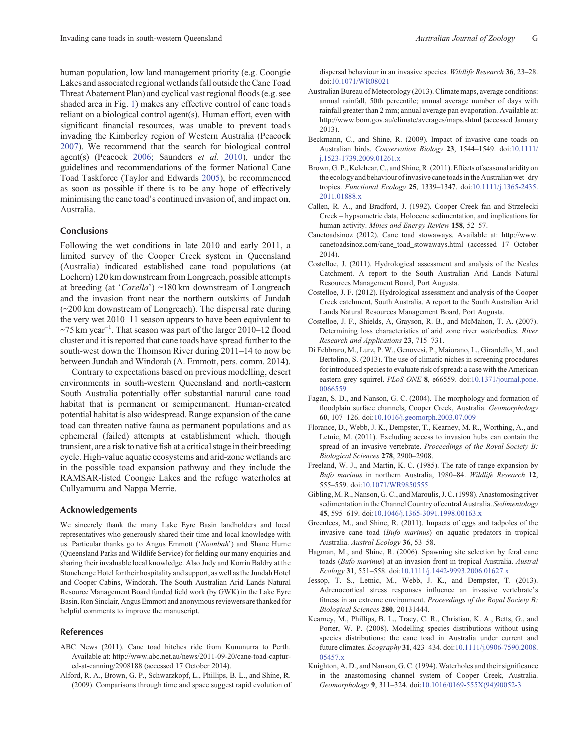<span id="page-6-0"></span>human population, low land management priority (e.g. Coongie Lakes and associated regional wetlands fall outsidethe Cane Toad Threat Abatement Plan) and cyclical vast regional floods (e.g. see shaded area in Fig. [1](#page-2-0)) makes any effective control of cane toads reliant on a biological control agent(s). Human effort, even with significant financial resources, was unable to prevent toads invading the Kimberley region of Western Australia (Peacock [2007](#page-7-0)). We recommend that the search for biological control agent(s) (Peacock [2006;](#page-7-0) Saunders *et al*. [2010\)](#page-7-0), under the guidelines and recommendations of the former National Cane Toad Taskforce (Taylor and Edwards [2005](#page-7-0)), be recommenced as soon as possible if there is to be any hope of effectively minimising the cane toad's continued invasion of, and impact on, Australia.

## **Conclusions**

Following the wet conditions in late 2010 and early 2011, a limited survey of the Cooper Creek system in Queensland (Australia) indicated established cane toad populations (at Lochern) 120 km downstream from Longreach, possible attempts at breeding (at '*Carella*') ~180 km downstream of Longreach and the invasion front near the northern outskirts of Jundah (~200 km downstream of Longreach). The dispersal rate during the very wet 2010–11 season appears to have been equivalent to  $\sim$ 75 km year<sup>-1</sup>. That season was part of the larger 2010–12 flood cluster and it is reported that cane toads have spread further to the south-west down the Thomson River during 2011–14 to now be between Jundah and Windorah (A. Emmott, pers. comm. 2014).

Contrary to expectations based on previous modelling, desert environments in south-western Queensland and north-eastern South Australia potentially offer substantial natural cane toad habitat that is permanent or semipermanent. Human-created potential habitat is also widespread. Range expansion of the cane toad can threaten native fauna as permanent populations and as ephemeral (failed) attempts at establishment which, though transient, are a risk to native fish at a critical stage in their breeding cycle. High-value aquatic ecosystems and arid-zone wetlands are in the possible toad expansion pathway and they include the RAMSAR-listed Coongie Lakes and the refuge waterholes at Cullyamurra and Nappa Merrie.

#### **Acknowledgements**

We sincerely thank the many Lake Eyre Basin landholders and local representatives who generously shared their time and local knowledge with us. Particular thanks go to Angus Emmott ('*Noonbah*') and Shane Hume (Queensland Parks and Wildlife Service) for fielding our many enquiries and sharing their invaluable local knowledge. Also Judy and Korrin Baldry at the Stonehenge Hotel for their hospitality and support, as well as the Jundah Hotel and Cooper Cabins, Windorah. The South Australian Arid Lands Natural Resource Management Board funded field work (by GWK) in the Lake Eyre Basin. Ron Sinclair, Angus Emmott and anonymous reviewers are thanked for helpful comments to improve the manuscript.

#### **References**

- ABC News (2011). Cane toad hitches ride from Kununurra to Perth. Available at: [http://www.abc.net.au/news/2011-09-20/cane-toad-captur](http://www.abc.net.au/news/2011-09-20/cane-toad-captured-at-canning/2908188)[ed-at-canning/2908188](http://www.abc.net.au/news/2011-09-20/cane-toad-captured-at-canning/2908188) (accessed 17 October 2014).
- Alford, R. A., Brown, G. P., Schwarzkopf, L., Phillips, B. L., and Shine, R. (2009). Comparisons through time and space suggest rapid evolution of

dispersal behaviour in an invasive species. *Wildlife Research* **36**, 23–28. doi:[10.1071/WR08021](dx.doi.org/10.1071/WR08021)

- Australian Bureau of Meteorology (2013). Climate maps, average conditions: annual rainfall, 50th percentile; annual average number of days with rainfall greater than 2 mm; annual average pan evaporation. Available at: <http://www.bom.gov.au/climate/averages/maps.shtml> (accessed January 2013).
- Beckmann, C., and Shine, R. (2009). Impact of invasive cane toads on Australian birds. *Conservation Biology* **23**, 1544–1549. doi:[10.1111/](dx.doi.org/10.1111/j.1523-1739.2009.01261.x) [j.1523-1739.2009.01261.x](dx.doi.org/10.1111/j.1523-1739.2009.01261.x)
- Brown, G. P., Kelehear, C., and Shine, R. (2011). Effects of seasonal aridity on the ecology and behaviour of invasive cane toads in the Australian wet–dry tropics. *Functional Ecology* **25**, 1339–1347. doi[:10.1111/j.1365-2435.](dx.doi.org/10.1111/j.1365-2435.2011.01888.x) [2011.01888.x](dx.doi.org/10.1111/j.1365-2435.2011.01888.x)
- Callen, R. A., and Bradford, J. (1992). Cooper Creek fan and Strzelecki Creek – hypsometric data, Holocene sedimentation, and implications for human activity. *Mines and Energy Review* **158**, 52–57.
- Canetoadsinoz (2012). Cane toad stowaways. Available at: [http://www.](http://www.canetoadsinoz.com/cane_toad_stowaways.html) [canetoadsinoz.com/cane\\_toad\\_stowaways.html](http://www.canetoadsinoz.com/cane_toad_stowaways.html) (accessed 17 October 2014).
- Costelloe, J. (2011). Hydrological assessment and analysis of the Neales Catchment. A report to the South Australian Arid Lands Natural Resources Management Board, Port Augusta.
- Costelloe, J. F. (2012). Hydrological assessment and analysis of the Cooper Creek catchment, South Australia. A report to the South Australian Arid Lands Natural Resources Management Board, Port Augusta.
- Costelloe, J. F., Shields, A, Grayson, R. B., and McMahon, T. A. (2007). Determining loss characteristics of arid zone river waterbodies. *River Research and Applications* **23**, 715–731.
- Di Febbraro, M., Lurz, P. W., Genovesi, P., Maiorano, L., Girardello, M., and Bertolino, S. (2013). The use of climatic niches in screening procedures for introduced species to evaluate risk of spread: a case with the American eastern grey squirrel. *PLoS ONE* **8**, e66559. doi:[10.1371/journal.pone.](dx.doi.org/10.1371/journal.pone.0066559) [0066559](dx.doi.org/10.1371/journal.pone.0066559)
- Fagan, S. D., and Nanson, G. C. (2004). The morphology and formation of floodplain surface channels, Cooper Creek, Australia. *Geomorphology* **60**, 107–126. doi:[10.1016/j.geomorph.2003.07.009](dx.doi.org/10.1016/j.geomorph.2003.07.009)
- Florance, D., Webb, J. K., Dempster, T., Kearney, M. R., Worthing, A., and Letnic, M. (2011). Excluding access to invasion hubs can contain the spread of an invasive vertebrate. *Proceedings of the Royal Society B: Biological Sciences* **278**, 2900–2908.
- Freeland, W. J., and Martin, K. C. (1985). The rate of range expansion by *Bufo marinus* in northern Australia, 1980–84. *Wildlife Research* **12**, 555–559. doi:[10.1071/WR9850555](dx.doi.org/10.1071/WR9850555)
- Gibling, M. R., Nanson, G. C., and Maroulis, J. C. (1998). Anastomosing river sedimentation in the Channel Country of central Australia. *Sedimentology* **45**, 595–619. doi:[10.1046/j.1365-3091.1998.00163.x](dx.doi.org/10.1046/j.1365-3091.1998.00163.x)
- Greenlees, M., and Shine, R. (2011). Impacts of eggs and tadpoles of the invasive cane toad (*Bufo marinus*) on aquatic predators in tropical Australia. *Austral Ecology* **36**, 53–58.
- Hagman, M., and Shine, R. (2006). Spawning site selection by feral cane toads (*Bufo marinus*) at an invasion front in tropical Australia. *Austral Ecology* **31**, 551–558. doi:[10.1111/j.1442-9993.2006.01627.x](dx.doi.org/10.1111/j.1442-9993.2006.01627.x)
- Jessop, T. S., Letnic, M., Webb, J. K., and Dempster, T. (2013). Adrenocortical stress responses influence an invasive vertebrate's fitness in an extreme environment. *Proceedings of the Royal Society B: Biological Sciences* **280**, 20131444.
- Kearney, M., Phillips, B. L., Tracy, C. R., Christian, K. A., Betts, G., and Porter, W. P. (2008). Modelling species distributions without using species distributions: the cane toad in Australia under current and future climates. *Ecography* **31**, 423–434. doi[:10.1111/j.0906-7590.2008.](dx.doi.org/10.1111/j.0906-7590.2008.05457.x) [05457.x](dx.doi.org/10.1111/j.0906-7590.2008.05457.x)
- Knighton, A. D., and Nanson, G. C. (1994). Waterholes and their significance in the anastomosing channel system of Cooper Creek, Australia. *Geomorphology* **9**, 311–324. doi[:10.1016/0169-555X\(94\)90052-3](dx.doi.org/10.1016/0169-555X(94)90052-3)